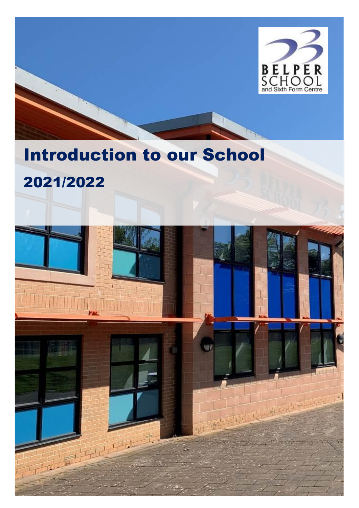

# Introduction to our School

## 2021/2022

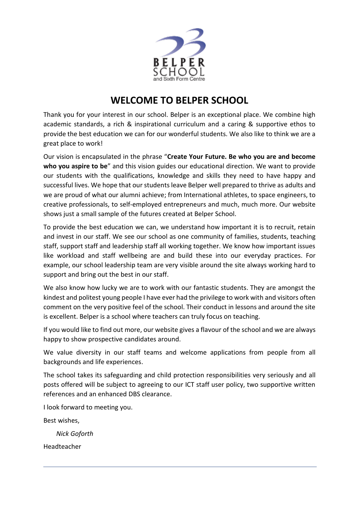

#### **WELCOME TO BELPER SCHOOL**

Thank you for your interest in our school. Belper is an exceptional place. We combine high academic standards, a rich & inspirational curriculum and a caring & supportive ethos to provide the best education we can for our wonderful students. We also like to think we are a great place to work!

Our vision is encapsulated in the phrase "**Create Your Future. Be who you are and become who you aspire to be**" and this vision guides our educational direction. We want to provide our students with the qualifications, knowledge and skills they need to have happy and successful lives. We hope that our students leave Belper well prepared to thrive as adults and we are proud of what our alumni achieve; from International athletes, to space engineers, to creative professionals, to self-employed entrepreneurs and much, much more. Our website shows just a small sample of the futures created at Belper School.

To provide the best education we can, we understand how important it is to recruit, retain and invest in our staff. We see our school as one community of families, students, teaching staff, support staff and leadership staff all working together. We know how important issues like workload and staff wellbeing are and build these into our everyday practices. For example, our school leadership team are very visible around the site always working hard to support and bring out the best in our staff.

We also know how lucky we are to work with our fantastic students. They are amongst the kindest and politest young people I have ever had the privilege to work with and visitors often comment on the very positive feel of the school. Their conduct in lessons and around the site is excellent. Belper is a school where teachers can truly focus on teaching.

If you would like to find out more, our website gives a flavour of the school and we are always happy to show prospective candidates around.

We value diversity in our staff teams and welcome applications from people from all backgrounds and life experiences.

The school takes its safeguarding and child protection responsibilities very seriously and all posts offered will be subject to agreeing to our ICT staff user policy, two supportive written references and an enhanced DBS clearance.

I look forward to meeting you.

Best wishes,

*Nick Goforth*

Headteacher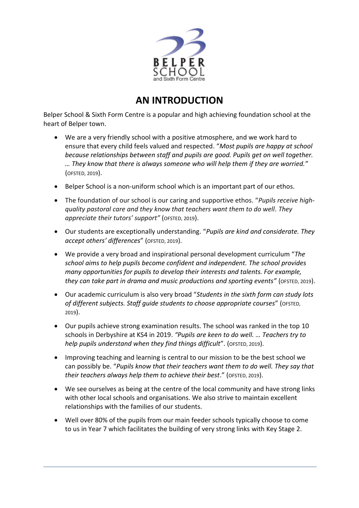

#### **AN INTRODUCTION**

Belper School & Sixth Form Centre is a popular and high achieving foundation school at the heart of Belper town.

- We are a very friendly school with a positive atmosphere, and we work hard to ensure that every child feels valued and respected. "*Most pupils are happy at school because relationships between staff and pupils are good. Pupils get on well together. … They know that there is always someone who will help them if they are worried."*  (OFSTED, 2019).
- Belper School is a non-uniform school which is an important part of our ethos.
- The foundation of our school is our caring and supportive ethos. "*Pupils receive highquality pastoral care and they know that teachers want them to do well. They appreciate their tutors' support"* (OFSTED, 2019).
- Our students are exceptionally understanding. "*Pupils are kind and considerate. They accept others' differences*" (OFSTED, 2019).
- We provide a very broad and inspirational personal development curriculum "*The school aims to help pupils become confident and independent. The school provides many opportunities for pupils to develop their interests and talents. For example, they can take part in drama and music productions and sporting events"* (OFSTED, 2019).
- Our academic curriculum is also very broad "*Students in the sixth form can study lots of different subjects. Staff guide students to choose appropriate courses*" (OFSTED, 2019).
- Our pupils achieve strong examination results. The school was ranked in the top 10 schools in Derbyshire at KS4 in 2019. *"Pupils are keen to do well. … Teachers try to help pupils understand when they find things difficult*". (OFSTED, 2019).
- Improving teaching and learning is central to our mission to be the best school we can possibly be. "*Pupils know that their teachers want them to do well. They say that their teachers always help them to achieve their best*." (OFSTED, 2019).
- We see ourselves as being at the centre of the local community and have strong links with other local schools and organisations. We also strive to maintain excellent relationships with the families of our students.
- Well over 80% of the pupils from our main feeder schools typically choose to come to us in Year 7 which facilitates the building of very strong links with Key Stage 2.